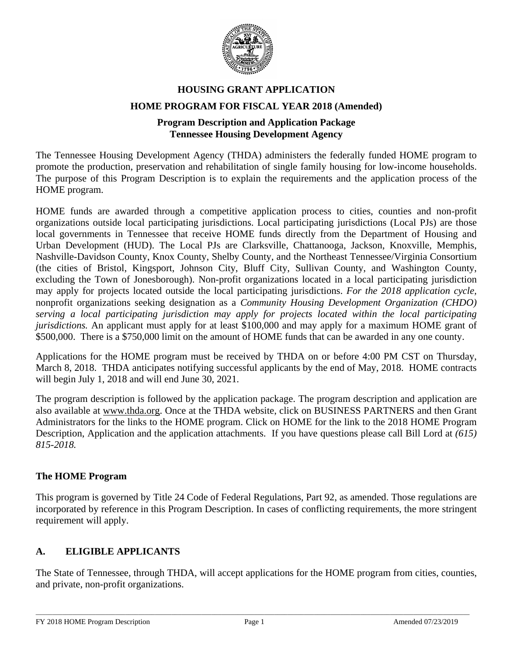

# **HOUSING GRANT APPLICATION HOME PROGRAM FOR FISCAL YEAR 2018 (Amended)**

# **Program Description and Application Package Tennessee Housing Development Agency**

The Tennessee Housing Development Agency (THDA) administers the federally funded HOME program to promote the production, preservation and rehabilitation of single family housing for low-income households. The purpose of this Program Description is to explain the requirements and the application process of the HOME program.

HOME funds are awarded through a competitive application process to cities, counties and non-profit organizations outside local participating jurisdictions. Local participating jurisdictions (Local PJs) are those local governments in Tennessee that receive HOME funds directly from the Department of Housing and Urban Development (HUD). The Local PJs are Clarksville, Chattanooga, Jackson, Knoxville, Memphis, Nashville-Davidson County, Knox County, Shelby County, and the Northeast Tennessee/Virginia Consortium (the cities of Bristol, Kingsport, Johnson City, Bluff City, Sullivan County, and Washington County, excluding the Town of Jonesborough). Non-profit organizations located in a local participating jurisdiction may apply for projects located outside the local participating jurisdictions. *For the 2018 application cycle,* nonprofit organizations seeking designation as a *Community Housing Development Organization (CHDO) serving a local participating jurisdiction may apply for projects located within the local participating jurisdictions.* An applicant must apply for at least \$100,000 and may apply for a maximum HOME grant of \$500,000. There is a \$750,000 limit on the amount of HOME funds that can be awarded in any one county.

Applications for the HOME program must be received by THDA on or before 4:00 PM CST on Thursday, March 8, 2018. THDA anticipates notifying successful applicants by the end of May, 2018. HOME contracts will begin July 1, 2018 and will end June 30, 2021.

The program description is followed by the application package. The program description and application are also available at [www.thda.org.](http://www.thda.org/) Once at the THDA website, click on BUSINESS PARTNERS and then Grant Administrators for the links to the HOME program. Click on HOME for the link to the 2018 HOME Program Description, Application and the application attachments. If you have questions please call Bill Lord at *(615) 815-2018.*

## **The HOME Program**

This program is governed by Title 24 Code of Federal Regulations, Part 92, as amended. Those regulations are incorporated by reference in this Program Description. In cases of conflicting requirements, the more stringent requirement will apply.

# **A. ELIGIBLE APPLICANTS**

The State of Tennessee, through THDA, will accept applications for the HOME program from cities, counties, and private, non-profit organizations.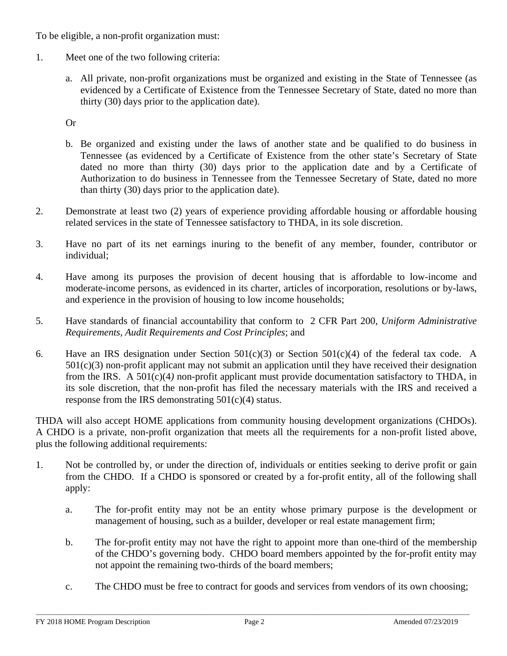To be eligible, a non-profit organization must:

- 1. Meet one of the two following criteria:
	- a. All private, non-profit organizations must be organized and existing in the State of Tennessee (as evidenced by a Certificate of Existence from the Tennessee Secretary of State, dated no more than thirty (30) days prior to the application date).

Or

- b. Be organized and existing under the laws of another state and be qualified to do business in Tennessee (as evidenced by a Certificate of Existence from the other state's Secretary of State dated no more than thirty (30) days prior to the application date and by a Certificate of Authorization to do business in Tennessee from the Tennessee Secretary of State, dated no more than thirty (30) days prior to the application date).
- 2. Demonstrate at least two (2) years of experience providing affordable housing or affordable housing related services in the state of Tennessee satisfactory to THDA, in its sole discretion.
- 3. Have no part of its net earnings inuring to the benefit of any member, founder, contributor or individual;
- 4. Have among its purposes the provision of decent housing that is affordable to low-income and moderate-income persons, as evidenced in its charter, articles of incorporation, resolutions or by-laws, and experience in the provision of housing to low income households;
- 5. Have standards of financial accountability that conform to 2 CFR Part 200, *Uniform Administrative Requirements, Audit Requirements and Cost Principles*; and
- 6. Have an IRS designation under Section  $501(c)(3)$  or Section  $501(c)(4)$  of the federal tax code. A  $501(c)(3)$  non-profit applicant may not submit an application until they have received their designation from the IRS. A 501(c)(4*)* non-profit applicant must provide documentation satisfactory to THDA, in its sole discretion, that the non-profit has filed the necessary materials with the IRS and received a response from the IRS demonstrating  $501(c)(4)$  status.

THDA will also accept HOME applications from community housing development organizations (CHDOs). A CHDO is a private, non-profit organization that meets all the requirements for a non-profit listed above, plus the following additional requirements:

- 1. Not be controlled by, or under the direction of, individuals or entities seeking to derive profit or gain from the CHDO. If a CHDO is sponsored or created by a for-profit entity, all of the following shall apply:
	- a. The for-profit entity may not be an entity whose primary purpose is the development or management of housing, such as a builder, developer or real estate management firm;
	- b. The for-profit entity may not have the right to appoint more than one-third of the membership of the CHDO's governing body. CHDO board members appointed by the for-profit entity may not appoint the remaining two-thirds of the board members;
	- c. The CHDO must be free to contract for goods and services from vendors of its own choosing;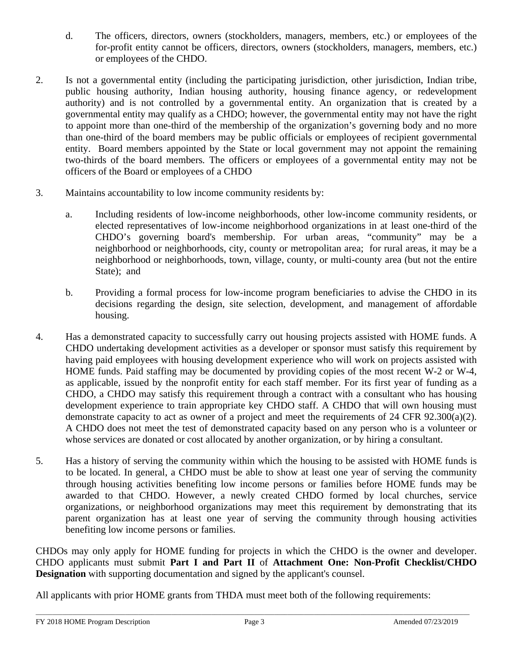- d. The officers, directors, owners (stockholders, managers, members, etc.) or employees of the for-profit entity cannot be officers, directors, owners (stockholders, managers, members, etc.) or employees of the CHDO.
- 2. Is not a governmental entity (including the participating jurisdiction, other jurisdiction, Indian tribe, public housing authority, Indian housing authority, housing finance agency, or redevelopment authority) and is not controlled by a governmental entity. An organization that is created by a governmental entity may qualify as a CHDO; however, the governmental entity may not have the right to appoint more than one-third of the membership of the organization's governing body and no more than one-third of the board members may be public officials or employees of recipient governmental entity. Board members appointed by the State or local government may not appoint the remaining two-thirds of the board members*.* The officers or employees of a governmental entity may not be officers of the Board or employees of a CHDO
- 3. Maintains accountability to low income community residents by:
	- a. Including residents of low-income neighborhoods, other low-income community residents, or elected representatives of low-income neighborhood organizations in at least one-third of the CHDO's governing board's membership. For urban areas, "community" may be a neighborhood or neighborhoods, city, county or metropolitan area; for rural areas, it may be a neighborhood or neighborhoods, town, village, county, or multi-county area (but not the entire State); and
	- b. Providing a formal process for low-income program beneficiaries to advise the CHDO in its decisions regarding the design, site selection, development, and management of affordable housing.
- 4. Has a demonstrated capacity to successfully carry out housing projects assisted with HOME funds. A CHDO undertaking development activities as a developer or sponsor must satisfy this requirement by having paid employees with housing development experience who will work on projects assisted with HOME funds. Paid staffing may be documented by providing copies of the most recent W-2 or W-4, as applicable, issued by the nonprofit entity for each staff member. For its first year of funding as a CHDO, a CHDO may satisfy this requirement through a contract with a consultant who has housing development experience to train appropriate key CHDO staff. A CHDO that will own housing must demonstrate capacity to act as owner of a project and meet the requirements of 24 CFR 92.300(a)(2). A CHDO does not meet the test of demonstrated capacity based on any person who is a volunteer or whose services are donated or cost allocated by another organization, or by hiring a consultant.
- 5. Has a history of serving the community within which the housing to be assisted with HOME funds is to be located. In general, a CHDO must be able to show at least one year of serving the community through housing activities benefiting low income persons or families before HOME funds may be awarded to that CHDO. However, a newly created CHDO formed by local churches, service organizations, or neighborhood organizations may meet this requirement by demonstrating that its parent organization has at least one year of serving the community through housing activities benefiting low income persons or families.

CHDOs may only apply for HOME funding for projects in which the CHDO is the owner and developer. CHDO applicants must submit **Part I and Part II** of **Attachment One: Non-Profit Checklist/CHDO Designation** with supporting documentation and signed by the applicant's counsel.

All applicants with prior HOME grants from THDA must meet both of the following requirements: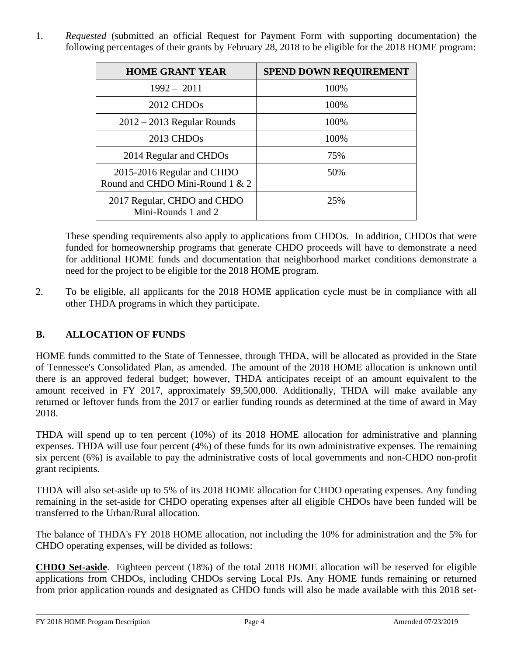1. *Requested* (submitted an official Request for Payment Form with supporting documentation) the following percentages of their grants by February 28, 2018 to be eligible for the 2018 HOME program:

| <b>HOME GRANT YEAR</b>                                        | <b>SPEND DOWN REQUIREMENT</b> |
|---------------------------------------------------------------|-------------------------------|
| $1992 - 2011$                                                 | 100%                          |
| 2012 CHDO <sub>s</sub>                                        | 100%                          |
| $2012 - 2013$ Regular Rounds                                  | 100%                          |
| 2013 CHDO <sub>s</sub>                                        | 100%                          |
| 2014 Regular and CHDOs                                        | 75%                           |
| 2015-2016 Regular and CHDO<br>Round and CHDO Mini-Round 1 & 2 | 50%                           |
| 2017 Regular, CHDO and CHDO<br>Mini-Rounds 1 and 2            | 25%                           |

These spending requirements also apply to applications from CHDOs. In addition, CHDOs that were funded for homeownership programs that generate CHDO proceeds will have to demonstrate a need for additional HOME funds and documentation that neighborhood market conditions demonstrate a need for the project to be eligible for the 2018 HOME program.

2. To be eligible, all applicants for the 2018 HOME application cycle must be in compliance with all other THDA programs in which they participate.

# **B. ALLOCATION OF FUNDS**

HOME funds committed to the State of Tennessee, through THDA, will be allocated as provided in the State of Tennessee's Consolidated Plan, as amended. The amount of the 2018 HOME allocation is unknown until there is an approved federal budget; however, THDA anticipates receipt of an amount equivalent to the amount received in FY 2017, approximately \$9,500,000. Additionally, THDA will make available any returned or leftover funds from the 2017 or earlier funding rounds as determined at the time of award in May 2018.

THDA will spend up to ten percent (10%) of its 2018 HOME allocation for administrative and planning expenses. THDA will use four percent (4%) of these funds for its own administrative expenses. The remaining six percent (6%) is available to pay the administrative costs of local governments and non-CHDO non-profit grant recipients.

THDA will also set-aside up to 5% of its 2018 HOME allocation for CHDO operating expenses. Any funding remaining in the set-aside for CHDO operating expenses after all eligible CHDOs have been funded will be transferred to the Urban/Rural allocation.

The balance of THDA's FY 2018 HOME allocation, not including the 10% for administration and the 5% for CHDO operating expenses, will be divided as follows:

**CHDO Set-aside**. Eighteen percent (18%) of the total 2018 HOME allocation will be reserved for eligible applications from CHDOs, including CHDOs serving Local PJs. Any HOME funds remaining or returned from prior application rounds and designated as CHDO funds will also be made available with this 2018 set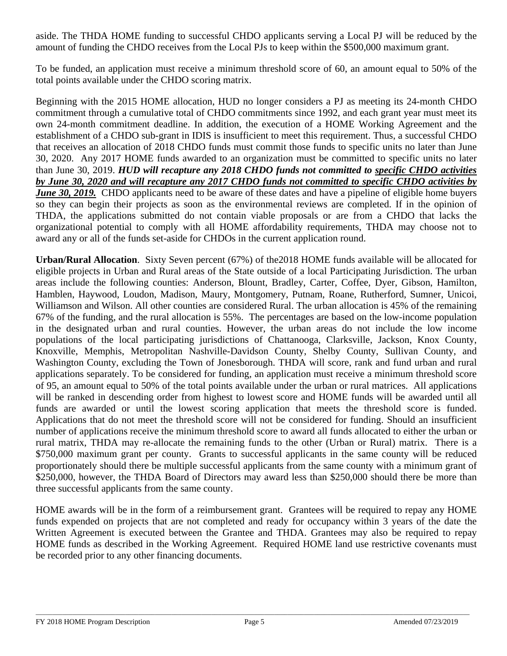aside. The THDA HOME funding to successful CHDO applicants serving a Local PJ will be reduced by the amount of funding the CHDO receives from the Local PJs to keep within the \$500,000 maximum grant.

To be funded, an application must receive a minimum threshold score of 60, an amount equal to 50% of the total points available under the CHDO scoring matrix.

Beginning with the 2015 HOME allocation, HUD no longer considers a PJ as meeting its 24-month CHDO commitment through a cumulative total of CHDO commitments since 1992, and each grant year must meet its own 24-month commitment deadline. In addition, the execution of a HOME Working Agreement and the establishment of a CHDO sub-grant in IDIS is insufficient to meet this requirement. Thus, a successful CHDO that receives an allocation of 2018 CHDO funds must commit those funds to specific units no later than June 30, 2020. Any 2017 HOME funds awarded to an organization must be committed to specific units no later than June 30, 2019. *HUD will recapture any 2018 CHDO funds not committed to specific CHDO activities by June 30, 2020 and will recapture any 2017 CHDO funds not committed to specific CHDO activities by June 30, 2019.* CHDO applicants need to be aware of these dates and have a pipeline of eligible home buyers so they can begin their projects as soon as the environmental reviews are completed. If in the opinion of THDA, the applications submitted do not contain viable proposals or are from a CHDO that lacks the organizational potential to comply with all HOME affordability requirements, THDA may choose not to award any or all of the funds set-aside for CHDOs in the current application round.

**Urban/Rural Allocation**. Sixty Seven percent (67%) of the2018 HOME funds available will be allocated for eligible projects in Urban and Rural areas of the State outside of a local Participating Jurisdiction. The urban areas include the following counties: Anderson, Blount, Bradley, Carter, Coffee, Dyer, Gibson, Hamilton, Hamblen, Haywood, Loudon, Madison, Maury, Montgomery, Putnam, Roane, Rutherford, Sumner, Unicoi, Williamson and Wilson. All other counties are considered Rural. The urban allocation is 45% of the remaining 67% of the funding, and the rural allocation is 55%. The percentages are based on the low-income population in the designated urban and rural counties. However, the urban areas do not include the low income populations of the local participating jurisdictions of Chattanooga, Clarksville, Jackson, Knox County, Knoxville, Memphis, Metropolitan Nashville-Davidson County, Shelby County, Sullivan County, and Washington County, excluding the Town of Jonesborough. THDA will score, rank and fund urban and rural applications separately. To be considered for funding, an application must receive a minimum threshold score of 95, an amount equal to 50% of the total points available under the urban or rural matrices. All applications will be ranked in descending order from highest to lowest score and HOME funds will be awarded until all funds are awarded or until the lowest scoring application that meets the threshold score is funded. Applications that do not meet the threshold score will not be considered for funding. Should an insufficient number of applications receive the minimum threshold score to award all funds allocated to either the urban or rural matrix, THDA may re-allocate the remaining funds to the other (Urban or Rural) matrix. There is a \$750,000 maximum grant per county. Grants to successful applicants in the same county will be reduced proportionately should there be multiple successful applicants from the same county with a minimum grant of \$250,000, however, the THDA Board of Directors may award less than \$250,000 should there be more than three successful applicants from the same county.

HOME awards will be in the form of a reimbursement grant. Grantees will be required to repay any HOME funds expended on projects that are not completed and ready for occupancy within 3 years of the date the Written Agreement is executed between the Grantee and THDA. Grantees may also be required to repay HOME funds as described in the Working Agreement. Required HOME land use restrictive covenants must be recorded prior to any other financing documents.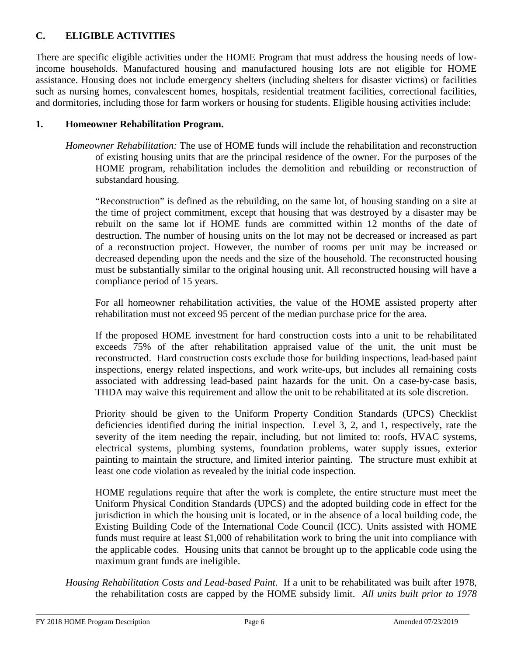# **C. ELIGIBLE ACTIVITIES**

There are specific eligible activities under the HOME Program that must address the housing needs of lowincome households. Manufactured housing and manufactured housing lots are not eligible for HOME assistance. Housing does not include emergency shelters (including shelters for disaster victims) or facilities such as nursing homes, convalescent homes, hospitals, residential treatment facilities, correctional facilities, and dormitories, including those for farm workers or housing for students. Eligible housing activities include:

## **1. Homeowner Rehabilitation Program.**

*Homeowner Rehabilitation:* The use of HOME funds will include the rehabilitation and reconstruction of existing housing units that are the principal residence of the owner. For the purposes of the HOME program, rehabilitation includes the demolition and rebuilding or reconstruction of substandard housing.

"Reconstruction" is defined as the rebuilding, on the same lot, of housing standing on a site at the time of project commitment, except that housing that was destroyed by a disaster may be rebuilt on the same lot if HOME funds are committed within 12 months of the date of destruction. The number of housing units on the lot may not be decreased or increased as part of a reconstruction project. However, the number of rooms per unit may be increased or decreased depending upon the needs and the size of the household. The reconstructed housing must be substantially similar to the original housing unit. All reconstructed housing will have a compliance period of 15 years.

For all homeowner rehabilitation activities, the value of the HOME assisted property after rehabilitation must not exceed 95 percent of the median purchase price for the area.

If the proposed HOME investment for hard construction costs into a unit to be rehabilitated exceeds 75% of the after rehabilitation appraised value of the unit, the unit must be reconstructed. Hard construction costs exclude those for building inspections, lead-based paint inspections, energy related inspections, and work write-ups, but includes all remaining costs associated with addressing lead-based paint hazards for the unit. On a case-by-case basis, THDA may waive this requirement and allow the unit to be rehabilitated at its sole discretion.

Priority should be given to the Uniform Property Condition Standards (UPCS) Checklist deficiencies identified during the initial inspection. Level 3, 2, and 1, respectively, rate the severity of the item needing the repair, including, but not limited to: roofs, HVAC systems, electrical systems, plumbing systems, foundation problems, water supply issues, exterior painting to maintain the structure, and limited interior painting. The structure must exhibit at least one code violation as revealed by the initial code inspection.

HOME regulations require that after the work is complete, the entire structure must meet the Uniform Physical Condition Standards (UPCS) and the adopted building code in effect for the jurisdiction in which the housing unit is located, or in the absence of a local building code, the Existing Building Code of the International Code Council (ICC). Units assisted with HOME funds must require at least \$1,000 of rehabilitation work to bring the unit into compliance with the applicable codes. Housing units that cannot be brought up to the applicable code using the maximum grant funds are ineligible.

*Housing Rehabilitation Costs and Lead-based Paint*. If a unit to be rehabilitated was built after 1978, the rehabilitation costs are capped by the HOME subsidy limit. *All units built prior to 1978*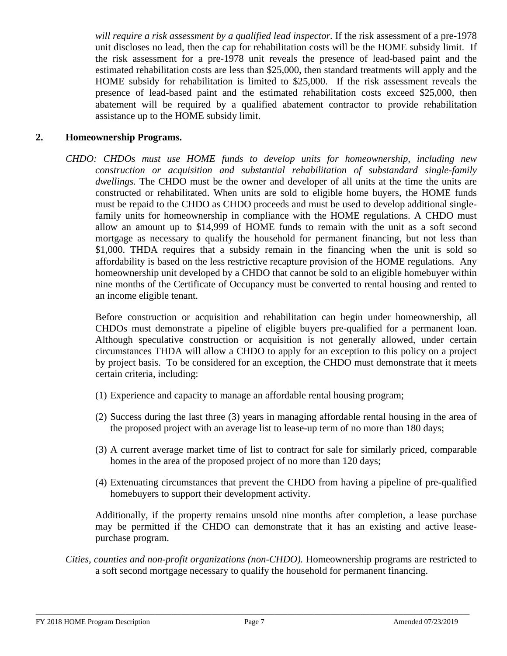*will require a risk assessment by a qualified lead inspector.* If the risk assessment of a pre-1978 unit discloses no lead, then the cap for rehabilitation costs will be the HOME subsidy limit. If the risk assessment for a pre-1978 unit reveals the presence of lead-based paint and the estimated rehabilitation costs are less than \$25,000, then standard treatments will apply and the HOME subsidy for rehabilitation is limited to \$25,000. If the risk assessment reveals the presence of lead-based paint and the estimated rehabilitation costs exceed \$25,000, then abatement will be required by a qualified abatement contractor to provide rehabilitation assistance up to the HOME subsidy limit.

### **2. Homeownership Programs.**

*CHDO: CHDOs must use HOME funds to develop units for homeownership, including new construction or acquisition and substantial rehabilitation of substandard single-family dwellings.* The CHDO must be the owner and developer of all units at the time the units are constructed or rehabilitated. When units are sold to eligible home buyers, the HOME funds must be repaid to the CHDO as CHDO proceeds and must be used to develop additional singlefamily units for homeownership in compliance with the HOME regulations. A CHDO must allow an amount up to \$14,999 of HOME funds to remain with the unit as a soft second mortgage as necessary to qualify the household for permanent financing, but not less than \$1,000. THDA requires that a subsidy remain in the financing when the unit is sold so affordability is based on the less restrictive recapture provision of the HOME regulations. Any homeownership unit developed by a CHDO that cannot be sold to an eligible homebuyer within nine months of the Certificate of Occupancy must be converted to rental housing and rented to an income eligible tenant.

Before construction or acquisition and rehabilitation can begin under homeownership, all CHDOs must demonstrate a pipeline of eligible buyers pre-qualified for a permanent loan. Although speculative construction or acquisition is not generally allowed, under certain circumstances THDA will allow a CHDO to apply for an exception to this policy on a project by project basis. To be considered for an exception, the CHDO must demonstrate that it meets certain criteria, including:

- (1) Experience and capacity to manage an affordable rental housing program;
- (2) Success during the last three (3) years in managing affordable rental housing in the area of the proposed project with an average list to lease-up term of no more than 180 days;
- (3) A current average market time of list to contract for sale for similarly priced, comparable homes in the area of the proposed project of no more than 120 days;
- (4) Extenuating circumstances that prevent the CHDO from having a pipeline of pre-qualified homebuyers to support their development activity.

Additionally, if the property remains unsold nine months after completion, a lease purchase may be permitted if the CHDO can demonstrate that it has an existing and active leasepurchase program.

*Cities, counties and non-profit organizations (non-CHDO).* Homeownership programs are restricted to a soft second mortgage necessary to qualify the household for permanent financing.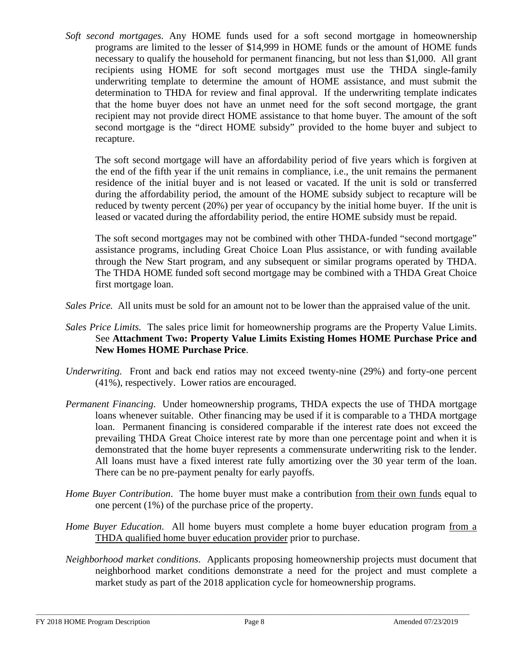*Soft second mortgages.* Any HOME funds used for a soft second mortgage in homeownership programs are limited to the lesser of \$14,999 in HOME funds or the amount of HOME funds necessary to qualify the household for permanent financing, but not less than \$1,000. All grant recipients using HOME for soft second mortgages must use the THDA single-family underwriting template to determine the amount of HOME assistance, and must submit the determination to THDA for review and final approval. If the underwriting template indicates that the home buyer does not have an unmet need for the soft second mortgage, the grant recipient may not provide direct HOME assistance to that home buyer. The amount of the soft second mortgage is the "direct HOME subsidy" provided to the home buyer and subject to recapture.

The soft second mortgage will have an affordability period of five years which is forgiven at the end of the fifth year if the unit remains in compliance, i.e., the unit remains the permanent residence of the initial buyer and is not leased or vacated. If the unit is sold or transferred during the affordability period, the amount of the HOME subsidy subject to recapture will be reduced by twenty percent (20%) per year of occupancy by the initial home buyer. If the unit is leased or vacated during the affordability period, the entire HOME subsidy must be repaid.

The soft second mortgages may not be combined with other THDA-funded "second mortgage" assistance programs, including Great Choice Loan Plus assistance, or with funding available through the New Start program, and any subsequent or similar programs operated by THDA. The THDA HOME funded soft second mortgage may be combined with a THDA Great Choice first mortgage loan.

*Sales Price.* All units must be sold for an amount not to be lower than the appraised value of the unit.

- *Sales Price Limits.* The sales price limit for homeownership programs are the Property Value Limits. See **Attachment Two: Property Value Limits Existing Homes HOME Purchase Price and New Homes HOME Purchase Price**.
- *Underwriting.* Front and back end ratios may not exceed twenty-nine (29%) and forty-one percent (41%), respectively. Lower ratios are encouraged.
- *Permanent Financing*. Under homeownership programs, THDA expects the use of THDA mortgage loans whenever suitable. Other financing may be used if it is comparable to a THDA mortgage loan. Permanent financing is considered comparable if the interest rate does not exceed the prevailing THDA Great Choice interest rate by more than one percentage point and when it is demonstrated that the home buyer represents a commensurate underwriting risk to the lender. All loans must have a fixed interest rate fully amortizing over the 30 year term of the loan. There can be no pre-payment penalty for early payoffs.
- *Home Buyer Contribution.* The home buyer must make a contribution from their own funds equal to one percent (1%) of the purchase price of the property.
- *Home Buyer Education*. All home buyers must complete a home buyer education program from a THDA qualified home buyer education provider prior to purchase.
- *Neighborhood market conditions*. Applicants proposing homeownership projects must document that neighborhood market conditions demonstrate a need for the project and must complete a market study as part of the 2018 application cycle for homeownership programs.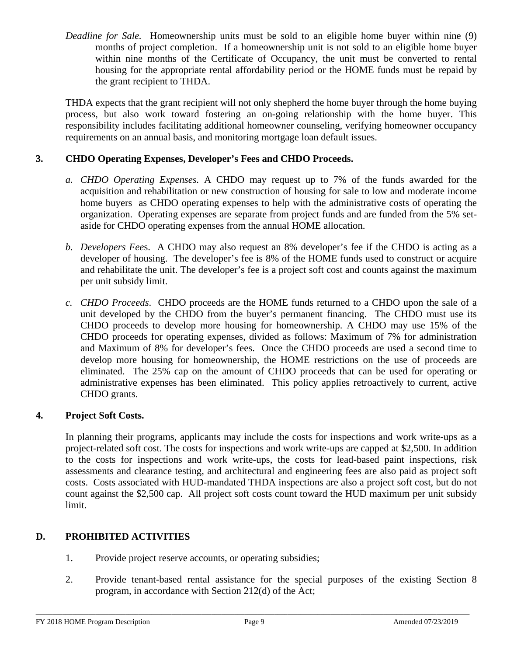*Deadline for Sale.* Homeownership units must be sold to an eligible home buyer within nine (9) months of project completion. If a homeownership unit is not sold to an eligible home buyer within nine months of the Certificate of Occupancy, the unit must be converted to rental housing for the appropriate rental affordability period or the HOME funds must be repaid by the grant recipient to THDA.

THDA expects that the grant recipient will not only shepherd the home buyer through the home buying process, but also work toward fostering an on-going relationship with the home buyer. This responsibility includes facilitating additional homeowner counseling, verifying homeowner occupancy requirements on an annual basis, and monitoring mortgage loan default issues.

## **3. CHDO Operating Expenses, Developer's Fees and CHDO Proceeds.**

- *a. CHDO Operating Expenses.* A CHDO may request up to 7% of the funds awarded for the acquisition and rehabilitation or new construction of housing for sale to low and moderate income home buyers as CHDO operating expenses to help with the administrative costs of operating the organization. Operating expenses are separate from project funds and are funded from the 5% setaside for CHDO operating expenses from the annual HOME allocation.
- *b. Developers Fee*s. A CHDO may also request an 8% developer's fee if the CHDO is acting as a developer of housing. The developer's fee is 8% of the HOME funds used to construct or acquire and rehabilitate the unit. The developer's fee is a project soft cost and counts against the maximum per unit subsidy limit.
- *c. CHDO Proceeds*. CHDO proceeds are the HOME funds returned to a CHDO upon the sale of a unit developed by the CHDO from the buyer's permanent financing. The CHDO must use its CHDO proceeds to develop more housing for homeownership. A CHDO may use 15% of the CHDO proceeds for operating expenses, divided as follows: Maximum of 7% for administration and Maximum of 8% for developer's fees. Once the CHDO proceeds are used a second time to develop more housing for homeownership, the HOME restrictions on the use of proceeds are eliminated. The 25% cap on the amount of CHDO proceeds that can be used for operating or administrative expenses has been eliminated. This policy applies retroactively to current, active CHDO grants.

## **4. Project Soft Costs.**

In planning their programs, applicants may include the costs for inspections and work write-ups as a project-related soft cost. The costs for inspections and work write-ups are capped at \$2,500. In addition to the costs for inspections and work write-ups, the costs for lead-based paint inspections, risk assessments and clearance testing, and architectural and engineering fees are also paid as project soft costs. Costs associated with HUD-mandated THDA inspections are also a project soft cost, but do not count against the \$2,500 cap. All project soft costs count toward the HUD maximum per unit subsidy limit.

# **D. PROHIBITED ACTIVITIES**

- 1. Provide project reserve accounts, or operating subsidies;
- 2. Provide tenant-based rental assistance for the special purposes of the existing Section 8 program, in accordance with Section 212(d) of the Act;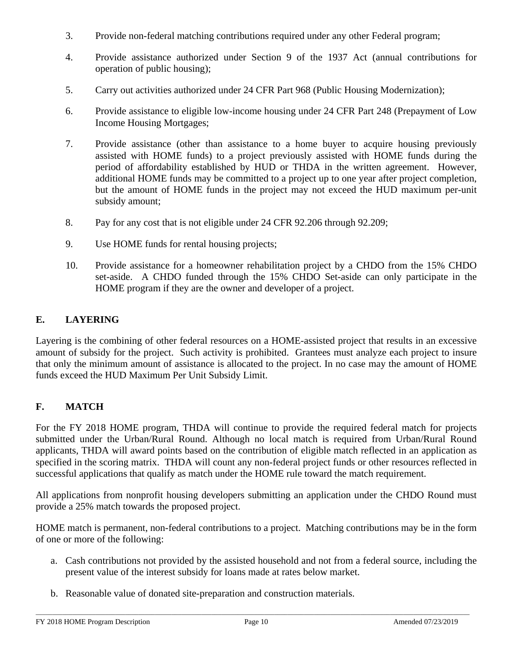- 3. Provide non-federal matching contributions required under any other Federal program;
- 4. Provide assistance authorized under Section 9 of the 1937 Act (annual contributions for operation of public housing);
- 5. Carry out activities authorized under 24 CFR Part 968 (Public Housing Modernization);
- 6. Provide assistance to eligible low-income housing under 24 CFR Part 248 (Prepayment of Low Income Housing Mortgages;
- 7. Provide assistance (other than assistance to a home buyer to acquire housing previously assisted with HOME funds) to a project previously assisted with HOME funds during the period of affordability established by HUD or THDA in the written agreement. However, additional HOME funds may be committed to a project up to one year after project completion, but the amount of HOME funds in the project may not exceed the HUD maximum per-unit subsidy amount;
- 8. Pay for any cost that is not eligible under 24 CFR 92.206 through 92.209;
- 9. Use HOME funds for rental housing projects;
- 10. Provide assistance for a homeowner rehabilitation project by a CHDO from the 15% CHDO set-aside. A CHDO funded through the 15% CHDO Set-aside can only participate in the HOME program if they are the owner and developer of a project.

# **E. LAYERING**

Layering is the combining of other federal resources on a HOME-assisted project that results in an excessive amount of subsidy for the project. Such activity is prohibited. Grantees must analyze each project to insure that only the minimum amount of assistance is allocated to the project. In no case may the amount of HOME funds exceed the HUD Maximum Per Unit Subsidy Limit.

# **F. MATCH**

For the FY 2018 HOME program, THDA will continue to provide the required federal match for projects submitted under the Urban/Rural Round. Although no local match is required from Urban/Rural Round applicants, THDA will award points based on the contribution of eligible match reflected in an application as specified in the scoring matrix. THDA will count any non-federal project funds or other resources reflected in successful applications that qualify as match under the HOME rule toward the match requirement.

All applications from nonprofit housing developers submitting an application under the CHDO Round must provide a 25% match towards the proposed project.

HOME match is permanent, non-federal contributions to a project. Matching contributions may be in the form of one or more of the following:

- a. Cash contributions not provided by the assisted household and not from a federal source, including the present value of the interest subsidy for loans made at rates below market.
- b. Reasonable value of donated site-preparation and construction materials.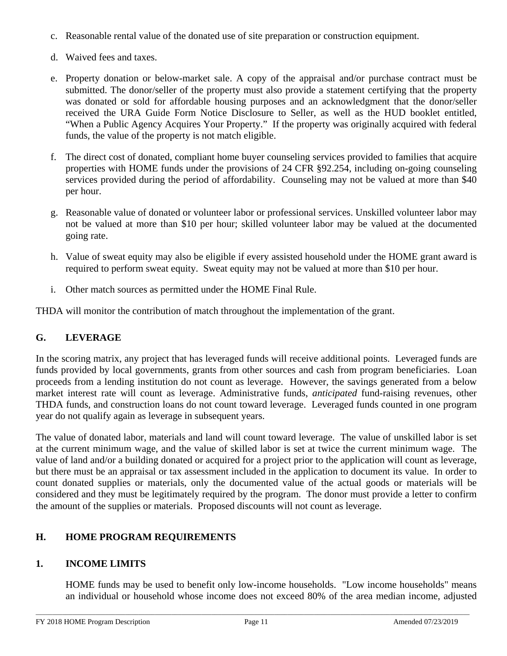- c. Reasonable rental value of the donated use of site preparation or construction equipment.
- d. Waived fees and taxes.
- e. Property donation or below-market sale. A copy of the appraisal and/or purchase contract must be submitted. The donor/seller of the property must also provide a statement certifying that the property was donated or sold for affordable housing purposes and an acknowledgment that the donor/seller received the URA Guide Form Notice Disclosure to Seller, as well as the HUD booklet entitled, "When a Public Agency Acquires Your Property." If the property was originally acquired with federal funds, the value of the property is not match eligible.
- f. The direct cost of donated, compliant home buyer counseling services provided to families that acquire properties with HOME funds under the provisions of 24 CFR §92.254, including on-going counseling services provided during the period of affordability. Counseling may not be valued at more than \$40 per hour.
- g. Reasonable value of donated or volunteer labor or professional services. Unskilled volunteer labor may not be valued at more than \$10 per hour; skilled volunteer labor may be valued at the documented going rate.
- h. Value of sweat equity may also be eligible if every assisted household under the HOME grant award is required to perform sweat equity. Sweat equity may not be valued at more than \$10 per hour.
- i. Other match sources as permitted under the HOME Final Rule.

THDA will monitor the contribution of match throughout the implementation of the grant.

# **G. LEVERAGE**

In the scoring matrix, any project that has leveraged funds will receive additional points. Leveraged funds are funds provided by local governments, grants from other sources and cash from program beneficiaries. Loan proceeds from a lending institution do not count as leverage. However, the savings generated from a below market interest rate will count as leverage. Administrative funds, *anticipated* fund-raising revenues, other THDA funds, and construction loans do not count toward leverage. Leveraged funds counted in one program year do not qualify again as leverage in subsequent years.

The value of donated labor, materials and land will count toward leverage. The value of unskilled labor is set at the current minimum wage, and the value of skilled labor is set at twice the current minimum wage. The value of land and/or a building donated or acquired for a project prior to the application will count as leverage, but there must be an appraisal or tax assessment included in the application to document its value. In order to count donated supplies or materials, only the documented value of the actual goods or materials will be considered and they must be legitimately required by the program. The donor must provide a letter to confirm the amount of the supplies or materials. Proposed discounts will not count as leverage.

# **H. HOME PROGRAM REQUIREMENTS**

# **1. INCOME LIMITS**

HOME funds may be used to benefit only low-income households. "Low income households" means an individual or household whose income does not exceed 80% of the area median income, adjusted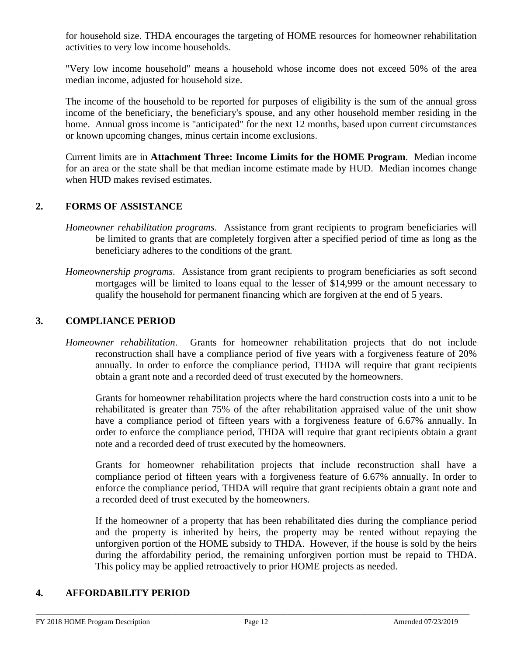for household size. THDA encourages the targeting of HOME resources for homeowner rehabilitation activities to very low income households.

"Very low income household" means a household whose income does not exceed 50% of the area median income, adjusted for household size.

The income of the household to be reported for purposes of eligibility is the sum of the annual gross income of the beneficiary, the beneficiary's spouse, and any other household member residing in the home. Annual gross income is "anticipated" for the next 12 months, based upon current circumstances or known upcoming changes, minus certain income exclusions.

Current limits are in **Attachment Three: Income Limits for the HOME Program**. Median income for an area or the state shall be that median income estimate made by HUD. Median incomes change when HUD makes revised estimates.

## **2. FORMS OF ASSISTANCE**

- *Homeowner rehabilitation programs*. Assistance from grant recipients to program beneficiaries will be limited to grants that are completely forgiven after a specified period of time as long as the beneficiary adheres to the conditions of the grant.
- *Homeownership programs*. Assistance from grant recipients to program beneficiaries as soft second mortgages will be limited to loans equal to the lesser of \$14,999 or the amount necessary to qualify the household for permanent financing which are forgiven at the end of 5 years.

## **3. COMPLIANCE PERIOD**

*Homeowner rehabilitation*.Grants for homeowner rehabilitation projects that do not include reconstruction shall have a compliance period of five years with a forgiveness feature of 20% annually. In order to enforce the compliance period, THDA will require that grant recipients obtain a grant note and a recorded deed of trust executed by the homeowners.

 Grants for homeowner rehabilitation projects where the hard construction costs into a unit to be rehabilitated is greater than 75% of the after rehabilitation appraised value of the unit show have a compliance period of fifteen years with a forgiveness feature of 6.67% annually. In order to enforce the compliance period, THDA will require that grant recipients obtain a grant note and a recorded deed of trust executed by the homeowners.

Grants for homeowner rehabilitation projects that include reconstruction shall have a compliance period of fifteen years with a forgiveness feature of 6.67% annually. In order to enforce the compliance period, THDA will require that grant recipients obtain a grant note and a recorded deed of trust executed by the homeowners.

If the homeowner of a property that has been rehabilitated dies during the compliance period and the property is inherited by heirs, the property may be rented without repaying the unforgiven portion of the HOME subsidy to THDA. However, if the house is sold by the heirs during the affordability period, the remaining unforgiven portion must be repaid to THDA. This policy may be applied retroactively to prior HOME projects as needed.

### **4. AFFORDABILITY PERIOD**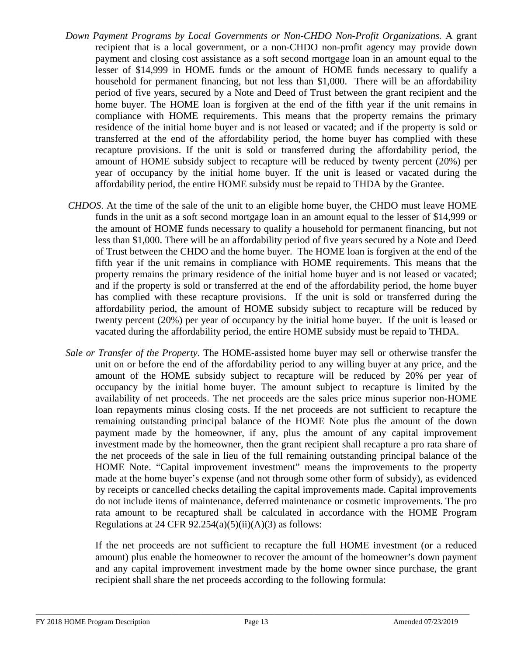- *Down Payment Programs by Local Governments or Non-CHDO Non-Profit Organizations.* A grant recipient that is a local government, or a non-CHDO non-profit agency may provide down payment and closing cost assistance as a soft second mortgage loan in an amount equal to the lesser of \$14,999 in HOME funds or the amount of HOME funds necessary to qualify a household for permanent financing, but not less than \$1,000. There will be an affordability period of five years, secured by a Note and Deed of Trust between the grant recipient and the home buyer. The HOME loan is forgiven at the end of the fifth year if the unit remains in compliance with HOME requirements. This means that the property remains the primary residence of the initial home buyer and is not leased or vacated; and if the property is sold or transferred at the end of the affordability period, the home buyer has complied with these recapture provisions. If the unit is sold or transferred during the affordability period, the amount of HOME subsidy subject to recapture will be reduced by twenty percent (20%) per year of occupancy by the initial home buyer. If the unit is leased or vacated during the affordability period, the entire HOME subsidy must be repaid to THDA by the Grantee.
- *CHDOS*. At the time of the sale of the unit to an eligible home buyer, the CHDO must leave HOME funds in the unit as a soft second mortgage loan in an amount equal to the lesser of \$14,999 or the amount of HOME funds necessary to qualify a household for permanent financing, but not less than \$1,000. There will be an affordability period of five years secured by a Note and Deed of Trust between the CHDO and the home buyer. The HOME loan is forgiven at the end of the fifth year if the unit remains in compliance with HOME requirements. This means that the property remains the primary residence of the initial home buyer and is not leased or vacated; and if the property is sold or transferred at the end of the affordability period, the home buyer has complied with these recapture provisions. If the unit is sold or transferred during the affordability period, the amount of HOME subsidy subject to recapture will be reduced by twenty percent (20%) per year of occupancy by the initial home buyer. If the unit is leased or vacated during the affordability period, the entire HOME subsidy must be repaid to THDA.
- *Sale or Transfer of the Property*. The HOME-assisted home buyer may sell or otherwise transfer the unit on or before the end of the affordability period to any willing buyer at any price, and the amount of the HOME subsidy subject to recapture will be reduced by 20% per year of occupancy by the initial home buyer. The amount subject to recapture is limited by the availability of net proceeds. The net proceeds are the sales price minus superior non-HOME loan repayments minus closing costs. If the net proceeds are not sufficient to recapture the remaining outstanding principal balance of the HOME Note plus the amount of the down payment made by the homeowner, if any, plus the amount of any capital improvement investment made by the homeowner, then the grant recipient shall recapture a pro rata share of the net proceeds of the sale in lieu of the full remaining outstanding principal balance of the HOME Note. "Capital improvement investment" means the improvements to the property made at the home buyer's expense (and not through some other form of subsidy), as evidenced by receipts or cancelled checks detailing the capital improvements made. Capital improvements do not include items of maintenance, deferred maintenance or cosmetic improvements. The pro rata amount to be recaptured shall be calculated in accordance with the HOME Program Regulations at 24 CFR  $92.254(a)(5)(ii)(A)(3)$  as follows:

If the net proceeds are not sufficient to recapture the full HOME investment (or a reduced amount) plus enable the homeowner to recover the amount of the homeowner's down payment and any capital improvement investment made by the home owner since purchase, the grant recipient shall share the net proceeds according to the following formula: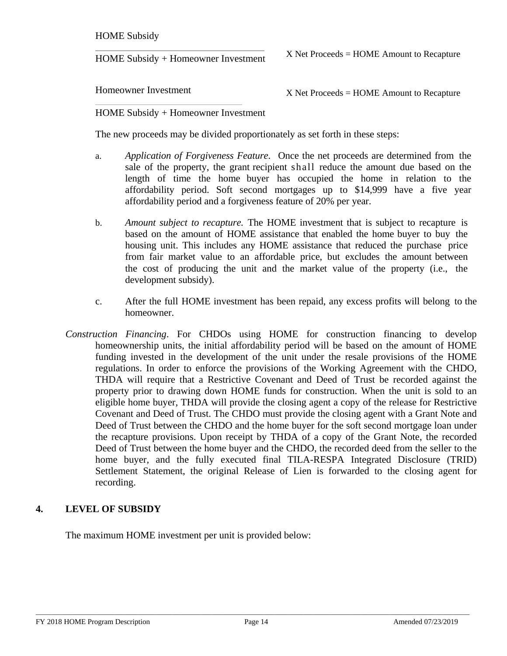HOME Subsidy

HOME Subsidy + Homeowner Investment

X Net Proceeds = HOME Amount to Recapture

Homeowner Investment

X Net Proceeds = HOME Amount to Recapture

HOME Subsidy + Homeowner Investment

The new proceeds may be divided proportionately as set forth in these steps:

- a. *Application of Forgiveness Feature*. Once the net proceeds are determined from the sale of the property, the grant recipient shall reduce the amount due based on the length of time the home buyer has occupied the home in relation to the affordability period. Soft second mortgages up to \$14,999 have a five year affordability period and a forgiveness feature of 20% per year.
- b. *Amount subject to recapture.* The HOME investment that is subject to recapture is based on the amount of HOME assistance that enabled the home buyer to buy the housing unit. This includes any HOME assistance that reduced the purchase price from fair market value to an affordable price, but excludes the amount between the cost of producing the unit and the market value of the property (i.e., the development subsidy).
- c. After the full HOME investment has been repaid, any excess profits will belong to the homeowner.
- *Construction Financing*. For CHDOs using HOME for construction financing to develop homeownership units, the initial affordability period will be based on the amount of HOME funding invested in the development of the unit under the resale provisions of the HOME regulations. In order to enforce the provisions of the Working Agreement with the CHDO, THDA will require that a Restrictive Covenant and Deed of Trust be recorded against the property prior to drawing down HOME funds for construction. When the unit is sold to an eligible home buyer, THDA will provide the closing agent a copy of the release for Restrictive Covenant and Deed of Trust. The CHDO must provide the closing agent with a Grant Note and Deed of Trust between the CHDO and the home buyer for the soft second mortgage loan under the recapture provisions. Upon receipt by THDA of a copy of the Grant Note, the recorded Deed of Trust between the home buyer and the CHDO, the recorded deed from the seller to the home buyer, and the fully executed final TILA-RESPA Integrated Disclosure (TRID) Settlement Statement, the original Release of Lien is forwarded to the closing agent for recording.

## **4. LEVEL OF SUBSIDY**

The maximum HOME investment per unit is provided below: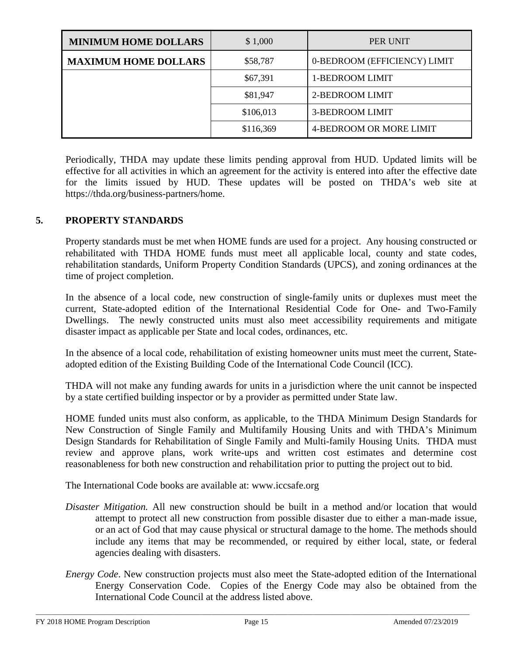| <b>MINIMUM HOME DOLLARS</b> | \$1,000   | PER UNIT                     |  |
|-----------------------------|-----------|------------------------------|--|
| <b>MAXIMUM HOME DOLLARS</b> | \$58,787  | 0-BEDROOM (EFFICIENCY) LIMIT |  |
|                             | \$67,391  | 1-BEDROOM LIMIT              |  |
|                             | \$81,947  | 2-BEDROOM LIMIT              |  |
|                             | \$106,013 | 3-BEDROOM LIMIT              |  |
|                             | \$116,369 | 4-BEDROOM OR MORE LIMIT      |  |

Periodically, THDA may update these limits pending approval from HUD. Updated limits will be effective for all activities in which an agreement for the activity is entered into after the effective date for the limits issued by HUD. These updates will be posted on THDA's web site [at](http://www.thda.org/) https://thda.org/business-partners/home.

## **5. PROPERTY STANDARDS**

Property standards must be met when HOME funds are used for a project. Any housing constructed or rehabilitated with THDA HOME funds must meet all applicable local, county and state codes, rehabilitation standards, Uniform Property Condition Standards (UPCS), and zoning ordinances at the time of project completion.

In the absence of a local code, new construction of single-family units or duplexes must meet the current, State-adopted edition of the International Residential Code for One- and Two-Family Dwellings. The newly constructed units must also meet accessibility requirements and mitigate disaster impact as applicable per State and local codes, ordinances, etc.

In the absence of a local code, rehabilitation of existing homeowner units must meet the current, Stateadopted edition of the Existing Building Code of the International Code Council (ICC).

THDA will not make any funding awards for units in a jurisdiction where the unit cannot be inspected by a state certified building inspector or by a provider as permitted under State law.

HOME funded units must also conform, as applicable, to the THDA Minimum Design Standards for New Construction of Single Family and Multifamily Housing Units and with THDA's Minimum Design Standards for Rehabilitation of Single Family and Multi-family Housing Units. THDA must review and approve plans, work write-ups and written cost estimates and determine cost reasonableness for both new construction and rehabilitation prior to putting the project out to bid.

The International Code books are available at: www.iccsafe.org

- *Disaster Mitigation.* All new construction should be built in a method and/or location that would attempt to protect all new construction from possible disaster due to either a man-made issue, or an act of God that may cause physical or structural damage to the home. The methods should include any items that may be recommended, or required by either local, state, or federal agencies dealing with disasters.
- *Energy Code*. New construction projects must also meet the State-adopted edition of the International Energy Conservation Code. Copies of the Energy Code may also be obtained from the International Code Council at the address listed above.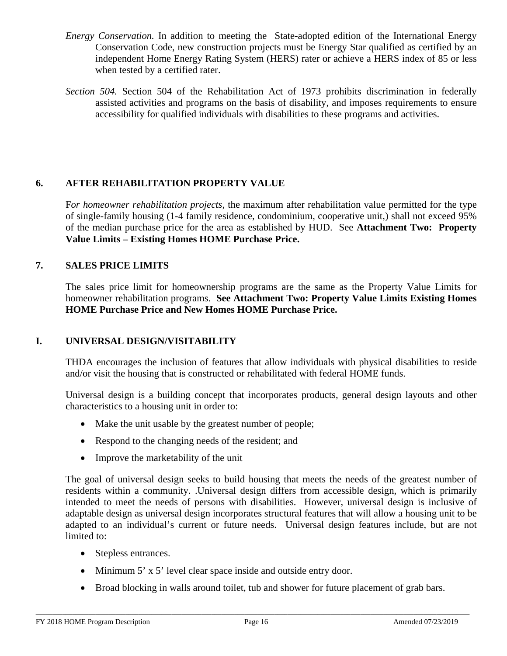- *Energy Conservation.* In addition to meeting the State-adopted edition of the International Energy Conservation Code, new construction projects must be Energy Star qualified as certified by an independent Home Energy Rating System (HERS) rater or achieve a HERS index of 85 or less when tested by a certified rater.
- *Section 504.* Section 504 of the Rehabilitation Act of 1973 prohibits discrimination in federally assisted activities and programs on the basis of disability, and imposes requirements to ensure accessibility for qualified individuals with disabilities to these programs and activities.

## **6. AFTER REHABILITATION PROPERTY VALUE**

F*or homeowner rehabilitation projects*, the maximum after rehabilitation value permitted for the type of single-family housing (1-4 family residence, condominium, cooperative unit,) shall not exceed 95% of the median purchase price for the area as established by HUD. See **Attachment Two: Property Value Limits – Existing Homes HOME Purchase Price.**

## **7. SALES PRICE LIMITS**

The sales price limit for homeownership programs are the same as the Property Value Limits for homeowner rehabilitation programs. **See Attachment Two: Property Value Limits Existing Homes HOME Purchase Price and New Homes HOME Purchase Price.** 

## **I. UNIVERSAL DESIGN/VISITABILITY**

THDA encourages the inclusion of features that allow individuals with physical disabilities to reside and/or visit the housing that is constructed or rehabilitated with federal HOME funds.

Universal design is a building concept that incorporates products, general design layouts and other characteristics to a housing unit in order to:

- Make the unit usable by the greatest number of people;
- Respond to the changing needs of the resident; and
- Improve the marketability of the unit

The goal of universal design seeks to build housing that meets the needs of the greatest number of residents within a community. .Universal design differs from accessible design, which is primarily intended to meet the needs of persons with disabilities. However, universal design is inclusive of adaptable design as universal design incorporates structural features that will allow a housing unit to be adapted to an individual's current or future needs. Universal design features include, but are not limited to:

- Stepless entrances.
- Minimum 5' x 5' level clear space inside and outside entry door.
- Broad blocking in walls around toilet, tub and shower for future placement of grab bars.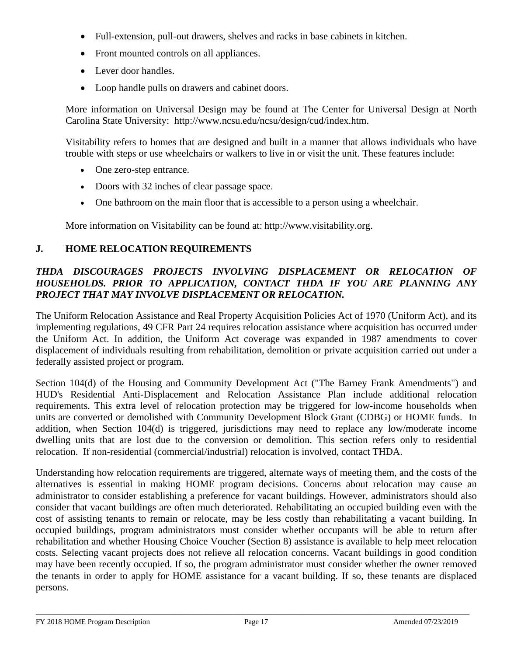- Full-extension, pull-out drawers, shelves and racks in base cabinets in kitchen.
- Front mounted controls on all appliances.
- Lever door handles.
- Loop handle pulls on drawers and cabinet doors.

More information on Universal Design may be found at The Center for Universal Design at North Carolina State University: [http://www.ncsu.edu/ncsu/design/cud/index.htm.](http://www.ncsu.edu/ncsu/design/cud/index.htm)

Visitability refers to homes that are designed and built in a manner that allows individuals who have trouble with steps or use wheelchairs or walkers to live in or visit the unit. These features include:

- One zero-step entrance.
- Doors with 32 inches of clear passage space.
- One bathroom on the main floor that is accessible to a person using a wheelchair.

More information on Visitability can be found at: [http://www.visitability.org.](http://www.visitability.org/)

## **J. HOME RELOCATION REQUIREMENTS**

## *THDA DISCOURAGES PROJECTS INVOLVING DISPLACEMENT OR RELOCATION OF HOUSEHOLDS. PRIOR TO APPLICATION, CONTACT THDA IF YOU ARE PLANNING ANY PROJECT THAT MAY INVOLVE DISPLACEMENT OR RELOCATION.*

The Uniform Relocation Assistance and Real Property Acquisition Policies Act of 1970 (Uniform Act), and its implementing regulations, 49 CFR Part 24 requires relocation assistance where acquisition has occurred under the Uniform Act. In addition, the Uniform Act coverage was expanded in 1987 amendments to cover displacement of individuals resulting from rehabilitation, demolition or private acquisition carried out under a federally assisted project or program.

Section 104(d) of the Housing and Community Development Act ("The Barney Frank Amendments") and HUD's Residential Anti-Displacement and Relocation Assistance Plan include additional relocation requirements. This extra level of relocation protection may be triggered for low-income households when units are converted or demolished with Community Development Block Grant (CDBG) or HOME funds. In addition, when Section 104(d) is triggered, jurisdictions may need to replace any low/moderate income dwelling units that are lost due to the conversion or demolition. This section refers only to residential relocation. If non-residential (commercial/industrial) relocation is involved, contact THDA.

Understanding how relocation requirements are triggered, alternate ways of meeting them, and the costs of the alternatives is essential in making HOME program decisions. Concerns about relocation may cause an administrator to consider establishing a preference for vacant buildings. However, administrators should also consider that vacant buildings are often much deteriorated. Rehabilitating an occupied building even with the cost of assisting tenants to remain or relocate, may be less costly than rehabilitating a vacant building. In occupied buildings, program administrators must consider whether occupants will be able to return after rehabilitation and whether Housing Choice Voucher (Section 8) assistance is available to help meet relocation costs. Selecting vacant projects does not relieve all relocation concerns. Vacant buildings in good condition may have been recently occupied. If so, the program administrator must consider whether the owner removed the tenants in order to apply for HOME assistance for a vacant building. If so, these tenants are displaced persons.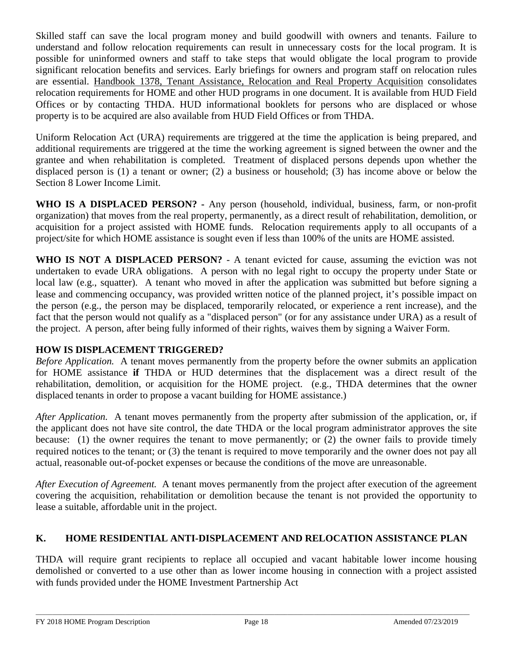Skilled staff can save the local program money and build goodwill with owners and tenants. Failure to understand and follow relocation requirements can result in unnecessary costs for the local program. It is possible for uninformed owners and staff to take steps that would obligate the local program to provide significant relocation benefits and services. Early briefings for owners and program staff on relocation rules are essential. Handbook 1378, Tenant Assistance, Relocation and Real Property Acquisition consolidates relocation requirements for HOME and other HUD programs in one document. It is available from HUD Field Offices or by contacting THDA. HUD informational booklets for persons who are displaced or whose property is to be acquired are also available from HUD Field Offices or from THDA.

Uniform Relocation Act (URA) requirements are triggered at the time the application is being prepared, and additional requirements are triggered at the time the working agreement is signed between the owner and the grantee and when rehabilitation is completed. Treatment of displaced persons depends upon whether the displaced person is (1) a tenant or owner; (2) a business or household; (3) has income above or below the Section 8 Lower Income Limit.

**WHO IS A DISPLACED PERSON? -** Any person (household, individual, business, farm, or non-profit organization) that moves from the real property, permanently, as a direct result of rehabilitation, demolition, or acquisition for a project assisted with HOME funds. Relocation requirements apply to all occupants of a project/site for which HOME assistance is sought even if less than 100% of the units are HOME assisted.

**WHO IS NOT A DISPLACED PERSON?** - A tenant evicted for cause, assuming the eviction was not undertaken to evade URA obligations. A person with no legal right to occupy the property under State or local law (e.g., squatter). A tenant who moved in after the application was submitted but before signing a lease and commencing occupancy, was provided written notice of the planned project, it's possible impact on the person (e.g., the person may be displaced, temporarily relocated, or experience a rent increase), and the fact that the person would not qualify as a "displaced person" (or for any assistance under URA) as a result of the project. A person, after being fully informed of their rights, waives them by signing a Waiver Form.

# **HOW IS DISPLACEMENT TRIGGERED?**

*Before Application.* A tenant moves permanently from the property before the owner submits an application for HOME assistance **if** THDA or HUD determines that the displacement was a direct result of the rehabilitation, demolition, or acquisition for the HOME project. (e.g., THDA determines that the owner displaced tenants in order to propose a vacant building for HOME assistance.)

*After Application.* A tenant moves permanently from the property after submission of the application, or, if the applicant does not have site control, the date THDA or the local program administrator approves the site because: (1) the owner requires the tenant to move permanently; or (2) the owner fails to provide timely required notices to the tenant; or (3) the tenant is required to move temporarily and the owner does not pay all actual, reasonable out-of-pocket expenses or because the conditions of the move are unreasonable.

*After Execution of Agreement.* A tenant moves permanently from the project after execution of the agreement covering the acquisition, rehabilitation or demolition because the tenant is not provided the opportunity to lease a suitable, affordable unit in the project.

# **K. HOME RESIDENTIAL ANTI-DISPLACEMENT AND RELOCATION ASSISTANCE PLAN**

THDA will require grant recipients to replace all occupied and vacant habitable lower income housing demolished or converted to a use other than as lower income housing in connection with a project assisted with funds provided under the HOME Investment Partnership Act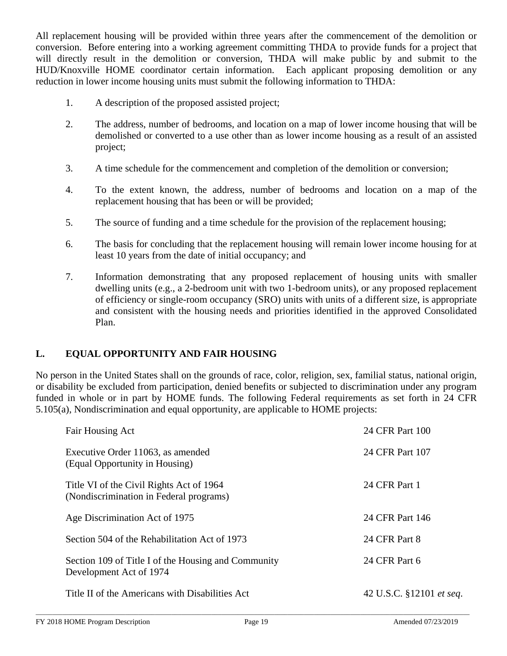All replacement housing will be provided within three years after the commencement of the demolition or conversion. Before entering into a working agreement committing THDA to provide funds for a project that will directly result in the demolition or conversion, THDA will make public by and submit to the HUD/Knoxville HOME coordinator certain information. Each applicant proposing demolition or any reduction in lower income housing units must submit the following information to THDA:

- 1. A description of the proposed assisted project;
- 2. The address, number of bedrooms, and location on a map of lower income housing that will be demolished or converted to a use other than as lower income housing as a result of an assisted project;
- 3. A time schedule for the commencement and completion of the demolition or conversion;
- 4. To the extent known, the address, number of bedrooms and location on a map of the replacement housing that has been or will be provided;
- 5. The source of funding and a time schedule for the provision of the replacement housing;
- 6. The basis for concluding that the replacement housing will remain lower income housing for at least 10 years from the date of initial occupancy; and
- 7. Information demonstrating that any proposed replacement of housing units with smaller dwelling units (e.g., a 2-bedroom unit with two 1-bedroom units), or any proposed replacement of efficiency or single-room occupancy (SRO) units with units of a different size, is appropriate and consistent with the housing needs and priorities identified in the approved Consolidated Plan.

# **L. EQUAL OPPORTUNITY AND FAIR HOUSING**

No person in the United States shall on the grounds of race, color, religion, sex, familial status, national origin, or disability be excluded from participation, denied benefits or subjected to discrimination under any program funded in whole or in part by HOME funds. The following Federal requirements as set forth in 24 CFR 5.105(a), Nondiscrimination and equal opportunity, are applicable to HOME projects:

| Fair Housing Act                                                                    | 24 CFR Part 100          |
|-------------------------------------------------------------------------------------|--------------------------|
| Executive Order 11063, as amended<br>(Equal Opportunity in Housing)                 | 24 CFR Part 107          |
| Title VI of the Civil Rights Act of 1964<br>(Nondiscrimination in Federal programs) | 24 CFR Part 1            |
| Age Discrimination Act of 1975                                                      | 24 CFR Part 146          |
| Section 504 of the Rehabilitation Act of 1973                                       | 24 CFR Part 8            |
| Section 109 of Title I of the Housing and Community<br>Development Act of 1974      | 24 CFR Part 6            |
| Title II of the Americans with Disabilities Act                                     | 42 U.S.C. §12101 et seq. |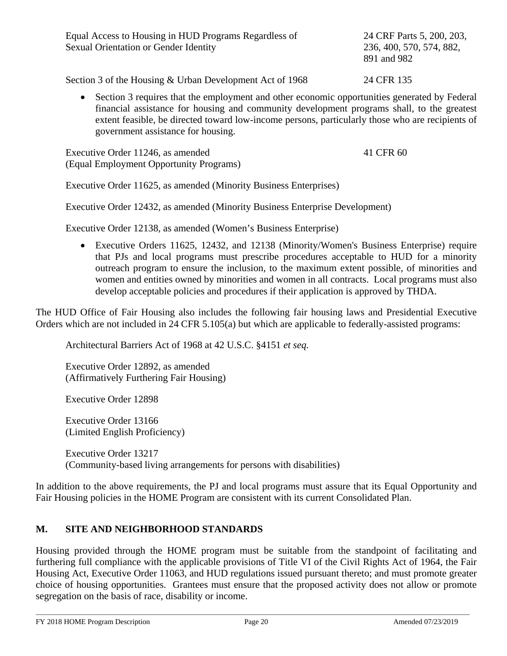| Equal Access to Housing in HUD Programs Regardless of<br><b>Sexual Orientation or Gender Identity</b> | 24 CRF Parts 5, 200, 203,<br>236, 400, 570, 574, 882,<br>891 and 982 |
|-------------------------------------------------------------------------------------------------------|----------------------------------------------------------------------|
| Section 3 of the Housing & Urban Development Act of 1968                                              | 24 CFR 135                                                           |

• Section 3 requires that the employment and other economic opportunities generated by Federal financial assistance for housing and community development programs shall, to the greatest extent feasible, be directed toward low-income persons, particularly those who are recipients of government assistance for housing.

Executive Order 11246, as amended 41 CFR 60 (Equal Employment Opportunity Programs)

Executive Order 11625, as amended (Minority Business Enterprises)

Executive Order 12432, as amended (Minority Business Enterprise Development)

Executive Order 12138, as amended (Women's Business Enterprise)

• Executive Orders 11625, 12432, and 12138 (Minority/Women's Business Enterprise) require that PJs and local programs must prescribe procedures acceptable to HUD for a minority outreach program to ensure the inclusion, to the maximum extent possible, of minorities and women and entities owned by minorities and women in all contracts. Local programs must also develop acceptable policies and procedures if their application is approved by THDA.

The HUD Office of Fair Housing also includes the following fair housing laws and Presidential Executive Orders which are not included in 24 CFR 5.105(a) but which are applicable to federally-assisted programs:

Architectural Barriers Act of 1968 at 42 U.S.C. §4151 *et seq.*

Executive Order 12892, as amended (Affirmatively Furthering Fair Housing)

Executive Order 12898

Executive Order 13166 (Limited English Proficiency)

Executive Order 13217 (Community-based living arrangements for persons with disabilities)

In addition to the above requirements, the PJ and local programs must assure that its Equal Opportunity and Fair Housing policies in the HOME Program are consistent with its current Consolidated Plan.

## **M. SITE AND NEIGHBORHOOD STANDARDS**

Housing provided through the HOME program must be suitable from the standpoint of facilitating and furthering full compliance with the applicable provisions of Title VI of the Civil Rights Act of 1964, the Fair Housing Act, Executive Order 11063, and HUD regulations issued pursuant thereto; and must promote greater choice of housing opportunities. Grantees must ensure that the proposed activity does not allow or promote segregation on the basis of race, disability or income.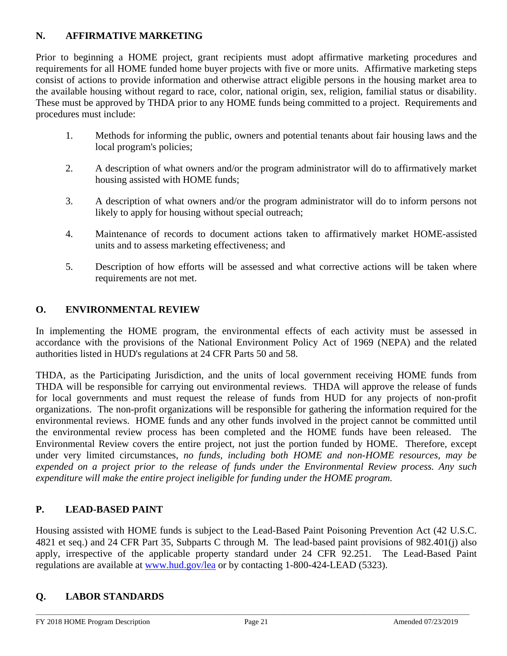# **N. AFFIRMATIVE MARKETING**

Prior to beginning a HOME project, grant recipients must adopt affirmative marketing procedures and requirements for all HOME funded home buyer projects with five or more units. Affirmative marketing steps consist of actions to provide information and otherwise attract eligible persons in the housing market area to the available housing without regard to race, color, national origin, sex, religion, familial status or disability. These must be approved by THDA prior to any HOME funds being committed to a project. Requirements and procedures must include:

- 1. Methods for informing the public, owners and potential tenants about fair housing laws and the local program's policies;
- 2. A description of what owners and/or the program administrator will do to affirmatively market housing assisted with HOME funds;
- 3. A description of what owners and/or the program administrator will do to inform persons not likely to apply for housing without special outreach;
- 4. Maintenance of records to document actions taken to affirmatively market HOME-assisted units and to assess marketing effectiveness; and
- 5. Description of how efforts will be assessed and what corrective actions will be taken where requirements are not met.

# **O. ENVIRONMENTAL REVIEW**

In implementing the HOME program, the environmental effects of each activity must be assessed in accordance with the provisions of the National Environment Policy Act of 1969 (NEPA) and the related authorities listed in HUD's regulations at 24 CFR Parts 50 and 58.

THDA, as the Participating Jurisdiction, and the units of local government receiving HOME funds from THDA will be responsible for carrying out environmental reviews. THDA will approve the release of funds for local governments and must request the release of funds from HUD for any projects of non-profit organizations. The non-profit organizations will be responsible for gathering the information required for the environmental reviews. HOME funds and any other funds involved in the project cannot be committed until the environmental review process has been completed and the HOME funds have been released. The Environmental Review covers the entire project, not just the portion funded by HOME. Therefore, except under very limited circumstances, *no funds, including both HOME and non-HOME resources, may be expended on a project prior to the release of funds under the Environmental Review process. Any such expenditure will make the entire project ineligible for funding under the HOME program.*

# **P. LEAD-BASED PAINT**

Housing assisted with HOME funds is subject to the Lead-Based Paint Poisoning Prevention Act (42 U.S.C. 4821 et seq.) and 24 CFR Part 35, Subparts C through M. The lead-based paint provisions of 982.401(j) also apply, irrespective of the applicable property standard under 24 CFR 92.251. The Lead-Based Paint regulations are available at [www.hud.gov/lea](http://www.hud.gov/lea) or by contacting 1-800-424-LEAD (5323).

# **Q. LABOR STANDARDS**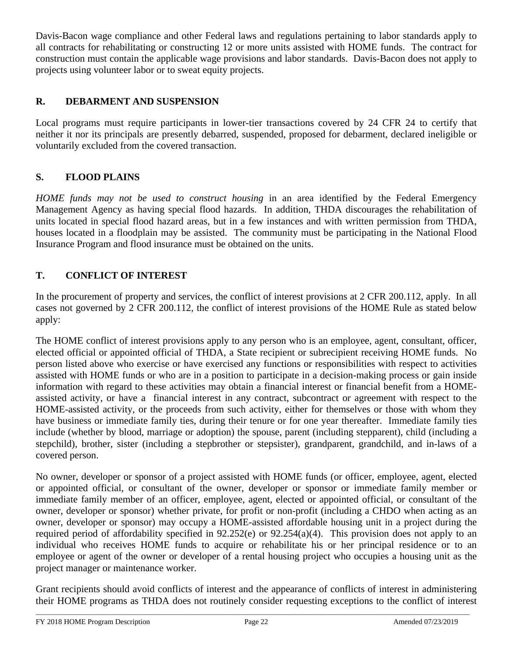Davis-Bacon wage compliance and other Federal laws and regulations pertaining to labor standards apply to all contracts for rehabilitating or constructing 12 or more units assisted with HOME funds. The contract for construction must contain the applicable wage provisions and labor standards. Davis-Bacon does not apply to projects using volunteer labor or to sweat equity projects.

# **R. DEBARMENT AND SUSPENSION**

Local programs must require participants in lower-tier transactions covered by 24 CFR 24 to certify that neither it nor its principals are presently debarred, suspended, proposed for debarment, declared ineligible or voluntarily excluded from the covered transaction.

# **S. FLOOD PLAINS**

*HOME funds may not be used to construct housing* in an area identified by the Federal Emergency Management Agency as having special flood hazards. In addition, THDA discourages the rehabilitation of units located in special flood hazard areas, but in a few instances and with written permission from THDA, houses located in a floodplain may be assisted. The community must be participating in the National Flood Insurance Program and flood insurance must be obtained on the units.

# **T. CONFLICT OF INTEREST**

In the procurement of property and services, the conflict of interest provisions at 2 CFR 200.112, apply. In all cases not governed by 2 CFR 200.112, the conflict of interest provisions of the HOME Rule as stated below apply:

The HOME conflict of interest provisions apply to any person who is an employee, agent, consultant, officer, elected official or appointed official of THDA, a State recipient or subrecipient receiving HOME funds. No person listed above who exercise or have exercised any functions or responsibilities with respect to activities assisted with HOME funds or who are in a position to participate in a decision-making process or gain inside information with regard to these activities may obtain a financial interest or financial benefit from a HOMEassisted activity, or have a financial interest in any contract, subcontract or agreement with respect to the HOME-assisted activity, or the proceeds from such activity, either for themselves or those with whom they have business or immediate family ties, during their tenure or for one year thereafter. Immediate family ties include (whether by blood, marriage or adoption) the spouse, parent (including stepparent), child (including a stepchild), brother, sister (including a stepbrother or stepsister), grandparent, grandchild, and in-laws of a covered person.

No owner, developer or sponsor of a project assisted with HOME funds (or officer, employee, agent, elected or appointed official, or consultant of the owner, developer or sponsor or immediate family member or immediate family member of an officer, employee, agent, elected or appointed official, or consultant of the owner, developer or sponsor) whether private, for profit or non-profit (including a CHDO when acting as an owner, developer or sponsor) may occupy a HOME-assisted affordable housing unit in a project during the required period of affordability specified in 92.252(e) or 92.254(a)(4). This provision does not apply to an individual who receives HOME funds to acquire or rehabilitate his or her principal residence or to an employee or agent of the owner or developer of a rental housing project who occupies a housing unit as the project manager or maintenance worker.

Grant recipients should avoid conflicts of interest and the appearance of conflicts of interest in administering their HOME programs as THDA does not routinely consider requesting exceptions to the conflict of interest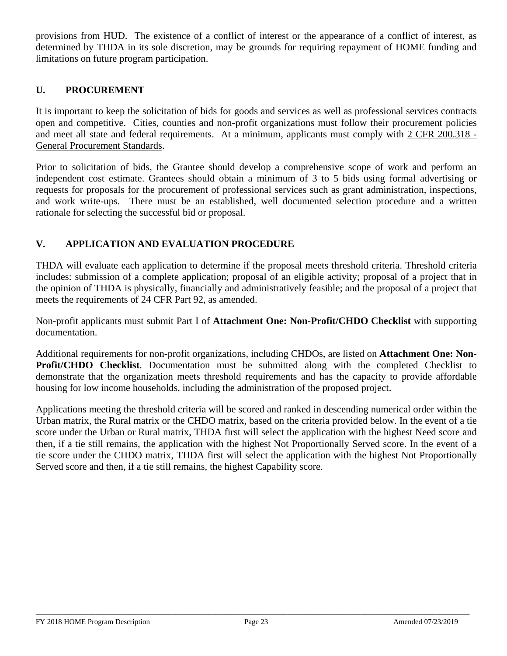provisions from HUD. The existence of a conflict of interest or the appearance of a conflict of interest, as determined by THDA in its sole discretion, may be grounds for requiring repayment of HOME funding and limitations on future program participation.

## **U. PROCUREMENT**

It is important to keep the solicitation of bids for goods and services as well as professional services contracts open and competitive. Cities, counties and non-profit organizations must follow their procurement policies and meet all state and federal requirements. At a minimum, applicants must comply with 2 CFR 200.318 - General Procurement Standards.

Prior to solicitation of bids, the Grantee should develop a comprehensive scope of work and perform an independent cost estimate. Grantees should obtain a minimum of 3 to 5 bids using formal advertising or requests for proposals for the procurement of professional services such as grant administration, inspections, and work write-ups. There must be an established, well documented selection procedure and a written rationale for selecting the successful bid or proposal.

## **V. APPLICATION AND EVALUATION PROCEDURE**

THDA will evaluate each application to determine if the proposal meets threshold criteria. Threshold criteria includes: submission of a complete application; proposal of an eligible activity; proposal of a project that in the opinion of THDA is physically, financially and administratively feasible; and the proposal of a project that meets the requirements of 24 CFR Part 92, as amended.

Non-profit applicants must submit Part I of **Attachment One: Non-Profit/CHDO Checklist** with supporting documentation.

Additional requirements for non-profit organizations, including CHDOs, are listed on **Attachment One: Non-Profit/CHDO Checklist**. Documentation must be submitted along with the completed Checklist to demonstrate that the organization meets threshold requirements and has the capacity to provide affordable housing for low income households, including the administration of the proposed project.

Applications meeting the threshold criteria will be scored and ranked in descending numerical order within the Urban matrix, the Rural matrix or the CHDO matrix, based on the criteria provided below. In the event of a tie score under the Urban or Rural matrix, THDA first will select the application with the highest Need score and then, if a tie still remains, the application with the highest Not Proportionally Served score. In the event of a tie score under the CHDO matrix, THDA first will select the application with the highest Not Proportionally Served score and then, if a tie still remains, the highest Capability score.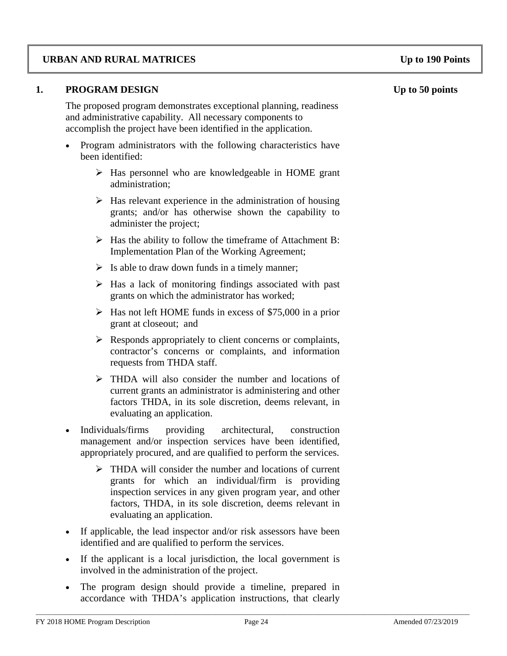## **URBAN AND RURAL MATRICES Up to 190 Points**

### **1. PROGRAM DESIGN Up to 50 points**

The proposed program demonstrates exceptional planning, readiness and administrative capability. All necessary components to accomplish the project have been identified in the application.

- Program administrators with the following characteristics have been identified:
	- $\triangleright$  Has personnel who are knowledgeable in HOME grant administration;
	- $\triangleright$  Has relevant experience in the administration of housing grants; and/or has otherwise shown the capability to administer the project;
	- $\triangleright$  Has the ability to follow the timeframe of Attachment B: Implementation Plan of the Working Agreement;
	- $\triangleright$  Is able to draw down funds in a timely manner;
	- $\triangleright$  Has a lack of monitoring findings associated with past grants on which the administrator has worked;
	- $\triangleright$  Has not left HOME funds in excess of \$75,000 in a prior grant at closeout; and
	- $\triangleright$  Responds appropriately to client concerns or complaints, contractor's concerns or complaints, and information requests from THDA staff.
	- THDA will also consider the number and locations of current grants an administrator is administering and other factors THDA, in its sole discretion, deems relevant, in evaluating an application.
- Individuals/firms providing architectural, construction management and/or inspection services have been identified, appropriately procured, and are qualified to perform the services.
	- > THDA will consider the number and locations of current grants for which an individual/firm is providing inspection services in any given program year, and other factors, THDA, in its sole discretion, deems relevant in evaluating an application.
- If applicable, the lead inspector and/or risk assessors have been identified and are qualified to perform the services.
- If the applicant is a local jurisdiction, the local government is involved in the administration of the project.
- The program design should provide a timeline, prepared in accordance with THDA's application instructions, that clearly

\_\_\_\_\_\_\_\_\_\_\_\_\_\_\_\_\_\_\_\_\_\_\_\_\_\_\_\_\_\_\_\_\_\_\_\_\_\_\_\_\_\_\_\_\_\_\_\_\_\_\_\_\_\_\_\_\_\_\_\_\_\_\_\_\_\_\_\_\_\_\_\_\_\_\_\_\_\_\_\_\_\_\_\_\_\_\_\_\_\_\_\_\_\_\_\_\_\_\_\_\_\_\_\_\_\_\_\_\_\_\_\_\_\_\_\_\_\_\_\_\_\_\_\_\_\_\_\_\_\_\_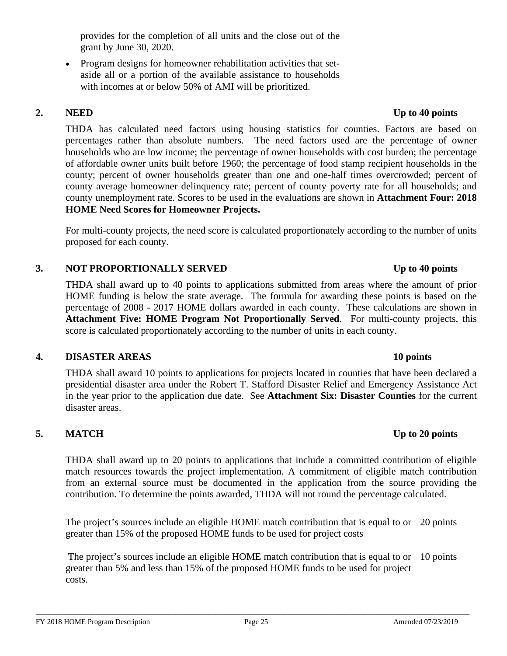provides for the completion of all units and the close out of the grant by June 30, 2020.

• Program designs for homeowner rehabilitation activities that setaside all or a portion of the available assistance to households with incomes at or below 50% of AMI will be prioritized.

THDA has calculated need factors using housing statistics for counties. Factors are based on percentages rather than absolute numbers. The need factors used are the percentage of owner households who are low income; the percentage of owner households with cost burden; the percentage of affordable owner units built before 1960; the percentage of food stamp recipient households in the county; percent of owner households greater than one and one-half times overcrowded; percent of county average homeowner delinquency rate; percent of county poverty rate for all households; and county unemployment rate. Scores to be used in the evaluations are shown in **Attachment Four: 2018 HOME Need Scores for Homeowner Projects.**

For multi-county projects, the need score is calculated proportionately according to the number of units proposed for each county.

## **3. NOT PROPORTIONALLY SERVED Up to 40 points**

THDA shall award up to 40 points to applications submitted from areas where the amount of prior HOME funding is below the state average. The formula for awarding these points is based on the percentage of 2008 - 2017 HOME dollars awarded in each county. These calculations are shown in **Attachment Five: HOME Program Not Proportionally Served**. For multi-county projects, this score is calculated proportionately according to the number of units in each county.

## **4. DISASTER AREAS 10 points**

THDA shall award 10 points to applications for projects located in counties that have been declared a presidential disaster area under the Robert T. Stafford Disaster Relief and Emergency Assistance Act in the year prior to the application due date. See **Attachment Six: Disaster Counties** for the current disaster areas.

# **5. MATCH Up to 20 points**

THDA shall award up to 20 points to applications that include a committed contribution of eligible match resources towards the project implementation. A commitment of eligible match contribution from an external source must be documented in the application from the source providing the contribution. To determine the points awarded, THDA will not round the percentage calculated.

The project's sources include an eligible HOME match contribution that is equal to or 20 points greater than 15% of the proposed HOME funds to be used for project costs

The project's sources include an eligible HOME match contribution that is equal to or 10 pointsgreater than 5% and less than 15% of the proposed HOME funds to be used for project costs.

# **2. NEED Up to 40 points**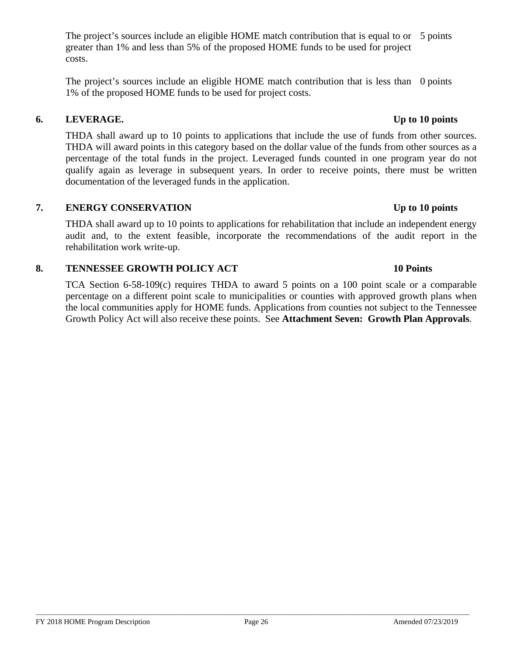The project's sources include an eligible HOME match contribution that is equal to or 5 points greater than 1% and less than 5% of the proposed HOME funds to be used for project costs.

The project's sources include an eligible HOME match contribution that is less than 0 points 1% of the proposed HOME funds to be used for project costs.

## **6. LEVERAGE. Up to 10 points**

THDA shall award up to 10 points to applications that include the use of funds from other sources. THDA will award points in this category based on the dollar value of the funds from other sources as a percentage of the total funds in the project. Leveraged funds counted in one program year do not qualify again as leverage in subsequent years. In order to receive points, there must be written documentation of the leveraged funds in the application.

## **7. ENERGY CONSERVATION Up to 10 points**

THDA shall award up to 10 points to applications for rehabilitation that include an independent energy audit and, to the extent feasible, incorporate the recommendations of the audit report in the rehabilitation work write-up.

### **8. TENNESSEE GROWTH POLICY ACT 10 Points**

TCA Section 6-58-109(c) requires THDA to award 5 points on a 100 point scale or a comparable percentage on a different point scale to municipalities or counties with approved growth plans when the local communities apply for HOME funds. Applications from counties not subject to the Tennessee Growth Policy Act will also receive these points. See **Attachment Seven: Growth Plan Approvals**.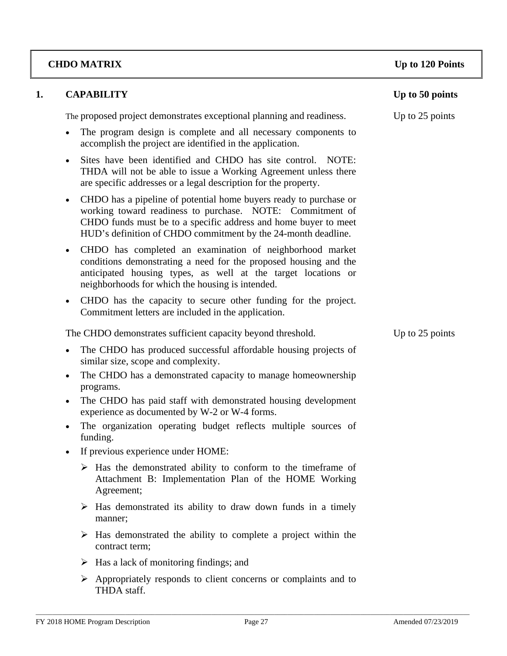# **CHDO MATRIX Up to 120 Points**

| 1. |           | <b>CAPABILITY</b>                                                                                                                                                                                                                                                  | Up to 50 points |
|----|-----------|--------------------------------------------------------------------------------------------------------------------------------------------------------------------------------------------------------------------------------------------------------------------|-----------------|
|    |           | The proposed project demonstrates exceptional planning and readiness.                                                                                                                                                                                              | Up to 25 points |
|    | $\bullet$ | The program design is complete and all necessary components to<br>accomplish the project are identified in the application.                                                                                                                                        |                 |
|    | $\bullet$ | Sites have been identified and CHDO has site control. NOTE:<br>THDA will not be able to issue a Working Agreement unless there<br>are specific addresses or a legal description for the property.                                                                  |                 |
|    | $\bullet$ | CHDO has a pipeline of potential home buyers ready to purchase or<br>working toward readiness to purchase. NOTE: Commitment of<br>CHDO funds must be to a specific address and home buyer to meet<br>HUD's definition of CHDO commitment by the 24-month deadline. |                 |
|    | $\bullet$ | CHDO has completed an examination of neighborhood market<br>conditions demonstrating a need for the proposed housing and the<br>anticipated housing types, as well at the target locations or<br>neighborhoods for which the housing is intended.                  |                 |
|    | $\bullet$ | CHDO has the capacity to secure other funding for the project.<br>Commitment letters are included in the application.                                                                                                                                              |                 |
|    |           | The CHDO demonstrates sufficient capacity beyond threshold.                                                                                                                                                                                                        | Up to 25 points |
|    | $\bullet$ | The CHDO has produced successful affordable housing projects of<br>similar size, scope and complexity.                                                                                                                                                             |                 |
|    | $\bullet$ | The CHDO has a demonstrated capacity to manage homeownership<br>programs.                                                                                                                                                                                          |                 |
|    | $\bullet$ | The CHDO has paid staff with demonstrated housing development<br>experience as documented by W-2 or W-4 forms.                                                                                                                                                     |                 |
|    | $\bullet$ | The organization operating budget reflects multiple sources of<br>funding.                                                                                                                                                                                         |                 |
|    | $\bullet$ | If previous experience under HOME:                                                                                                                                                                                                                                 |                 |
|    |           | Has the demonstrated ability to conform to the timeframe of<br>Attachment B: Implementation Plan of the HOME Working<br>Agreement;                                                                                                                                 |                 |
|    |           | $\triangleright$ Has demonstrated its ability to draw down funds in a timely<br>manner;                                                                                                                                                                            |                 |
|    | ➤         | Has demonstrated the ability to complete a project within the<br>contract term;                                                                                                                                                                                    |                 |
|    | ➤         | Has a lack of monitoring findings; and                                                                                                                                                                                                                             |                 |
|    |           | $\triangleright$ Appropriately responds to client concerns or complaints and to<br>THDA staff.                                                                                                                                                                     |                 |